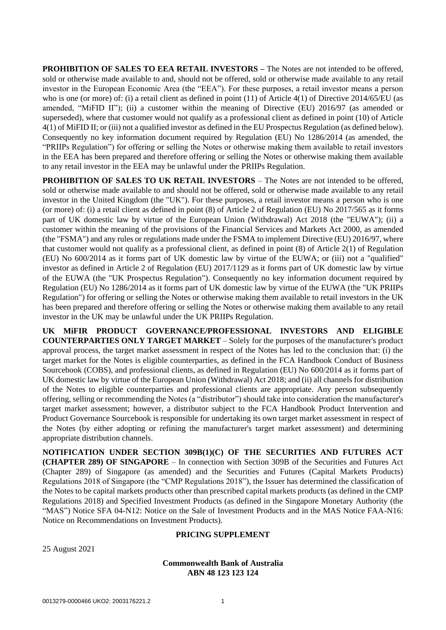**PROHIBITION OF SALES TO EEA RETAIL INVESTORS –** The Notes are not intended to be offered, sold or otherwise made available to and, should not be offered, sold or otherwise made available to any retail investor in the European Economic Area (the "EEA"). For these purposes, a retail investor means a person who is one (or more) of: (i) a retail client as defined in point (11) of Article 4(1) of Directive 2014/65/EU (as amended, "MiFID II"); (ii) a customer within the meaning of Directive (EU) 2016/97 (as amended or superseded), where that customer would not qualify as a professional client as defined in point (10) of Article 4(1) of MiFID II; or (iii) not a qualified investor as defined in the EU Prospectus Regulation (as defined below). Consequently no key information document required by Regulation (EU) No 1286/2014 (as amended, the "PRIIPs Regulation") for offering or selling the Notes or otherwise making them available to retail investors in the EEA has been prepared and therefore offering or selling the Notes or otherwise making them available to any retail investor in the EEA may be unlawful under the PRIIPs Regulation.

**PROHIBITION OF SALES TO UK RETAIL INVESTORS – The Notes are not intended to be offered,** sold or otherwise made available to and should not be offered, sold or otherwise made available to any retail investor in the United Kingdom (the "UK"). For these purposes, a retail investor means a person who is one (or more) of: (i) a retail client as defined in point (8) of Article 2 of Regulation (EU) No 2017/565 as it forms part of UK domestic law by virtue of the European Union (Withdrawal) Act 2018 (the "EUWA"); (ii) a customer within the meaning of the provisions of the Financial Services and Markets Act 2000, as amended (the "FSMA") and any rules or regulations made under the FSMA to implement Directive (EU) 2016/97, where that customer would not qualify as a professional client, as defined in point (8) of Article 2(1) of Regulation (EU) No 600/2014 as it forms part of UK domestic law by virtue of the EUWA; or (iii) not a "qualified" investor as defined in Article 2 of Regulation (EU) 2017/1129 as it forms part of UK domestic law by virtue of the EUWA (the "UK Prospectus Regulation"). Consequently no key information document required by Regulation (EU) No 1286/2014 as it forms part of UK domestic law by virtue of the EUWA (the "UK PRIIPs Regulation") for offering or selling the Notes or otherwise making them available to retail investors in the UK has been prepared and therefore offering or selling the Notes or otherwise making them available to any retail investor in the UK may be unlawful under the UK PRIIPs Regulation.

**UK MiFIR PRODUCT GOVERNANCE/PROFESSIONAL INVESTORS AND ELIGIBLE COUNTERPARTIES ONLY TARGET MARKET** – Solely for the purposes of the manufacturer's product approval process, the target market assessment in respect of the Notes has led to the conclusion that: (i) the target market for the Notes is eligible counterparties, as defined in the FCA Handbook Conduct of Business Sourcebook (COBS), and professional clients, as defined in Regulation (EU) No 600/2014 as it forms part of UK domestic law by virtue of the European Union (Withdrawal) Act 2018; and (ii) all channels for distribution of the Notes to eligible counterparties and professional clients are appropriate. Any person subsequently offering, selling or recommending the Notes (a "distributor") should take into consideration the manufacturer's target market assessment; however, a distributor subject to the FCA Handbook Product Intervention and Product Governance Sourcebook is responsible for undertaking its own target market assessment in respect of the Notes (by either adopting or refining the manufacturer's target market assessment) and determining appropriate distribution channels.

**NOTIFICATION UNDER SECTION 309B(1)(C) OF THE SECURITIES AND FUTURES ACT (CHAPTER 289) OF SINGAPORE** – In connection with Section 309B of the Securities and Futures Act (Chapter 289) of Singapore (as amended) and the Securities and Futures (Capital Markets Products) Regulations 2018 of Singapore (the "CMP Regulations 2018"), the Issuer has determined the classification of the Notes to be capital markets products other than prescribed capital markets products (as defined in the CMP Regulations 2018) and Specified Investment Products (as defined in the Singapore Monetary Authority (the "MAS") Notice SFA 04-N12: Notice on the Sale of Investment Products and in the MAS Notice FAA-N16: Notice on Recommendations on Investment Products).

### **PRICING SUPPLEMENT**

25 August 2021

# **Commonwealth Bank of Australia ABN 48 123 123 124**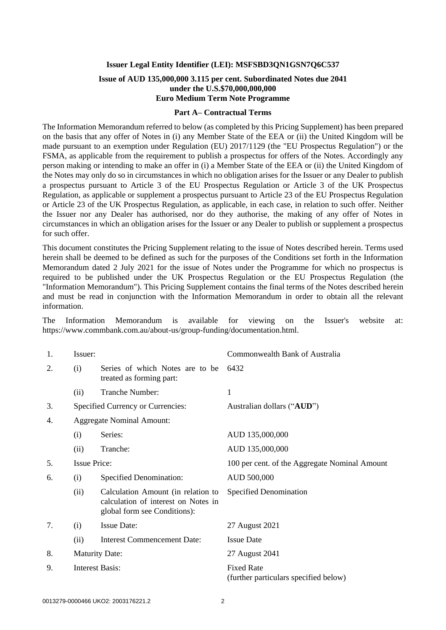### **Issuer Legal Entity Identifier (LEI): MSFSBD3QN1GSN7Q6C537**

# **Issue of AUD 135,000,000 3.115 per cent. Subordinated Notes due 2041 under the U.S.\$70,000,000,000 Euro Medium Term Note Programme**

#### **Part A– Contractual Terms**

The Information Memorandum referred to below (as completed by this Pricing Supplement) has been prepared on the basis that any offer of Notes in (i) any Member State of the EEA or (ii) the United Kingdom will be made pursuant to an exemption under Regulation (EU) 2017/1129 (the "EU Prospectus Regulation") or the FSMA, as applicable from the requirement to publish a prospectus for offers of the Notes. Accordingly any person making or intending to make an offer in (i) a Member State of the EEA or (ii) the United Kingdom of the Notes may only do so in circumstances in which no obligation arises for the Issuer or any Dealer to publish a prospectus pursuant to Article 3 of the EU Prospectus Regulation or Article 3 of the UK Prospectus Regulation, as applicable or supplement a prospectus pursuant to Article 23 of the EU Prospectus Regulation or Article 23 of the UK Prospectus Regulation, as applicable, in each case, in relation to such offer. Neither the Issuer nor any Dealer has authorised, nor do they authorise, the making of any offer of Notes in circumstances in which an obligation arises for the Issuer or any Dealer to publish or supplement a prospectus for such offer.

This document constitutes the Pricing Supplement relating to the issue of Notes described herein. Terms used herein shall be deemed to be defined as such for the purposes of the Conditions set forth in the Information Memorandum dated 2 July 2021 for the issue of Notes under the Programme for which no prospectus is required to be published under the UK Prospectus Regulation or the EU Prospectus Regulation (the "Information Memorandum"). This Pricing Supplement contains the final terms of the Notes described herein and must be read in conjunction with the Information Memorandum in order to obtain all the relevant information.

The Information Memorandum is available for viewing on the Issuer's website at: https://www.commbank.com.au/about-us/group-funding/documentation.html.

| 1. | Issuer:             |                                                                                                           | Commonwealth Bank of Australia                             |  |
|----|---------------------|-----------------------------------------------------------------------------------------------------------|------------------------------------------------------------|--|
| 2. | (i)                 | Series of which Notes are to be<br>treated as forming part:                                               | 6432                                                       |  |
|    | (ii)                | Tranche Number:                                                                                           | 1                                                          |  |
| 3. |                     | Specified Currency or Currencies:                                                                         | Australian dollars ("AUD")                                 |  |
| 4. |                     | <b>Aggregate Nominal Amount:</b>                                                                          |                                                            |  |
|    | (i)                 | Series:                                                                                                   | AUD 135,000,000                                            |  |
|    | (ii)                | Tranche:                                                                                                  | AUD 135,000,000                                            |  |
| 5. | <b>Issue Price:</b> |                                                                                                           | 100 per cent. of the Aggregate Nominal Amount              |  |
| 6. | (i)                 | <b>Specified Denomination:</b>                                                                            | AUD 500,000                                                |  |
|    | (ii)                | Calculation Amount (in relation to<br>calculation of interest on Notes in<br>global form see Conditions): | Specified Denomination                                     |  |
| 7. | (i)                 | <b>Issue Date:</b>                                                                                        | 27 August 2021                                             |  |
|    | (ii)                | <b>Interest Commencement Date:</b>                                                                        | <b>Issue Date</b>                                          |  |
| 8. |                     | <b>Maturity Date:</b>                                                                                     | 27 August 2041                                             |  |
| 9. |                     | <b>Interest Basis:</b>                                                                                    | <b>Fixed Rate</b><br>(further particulars specified below) |  |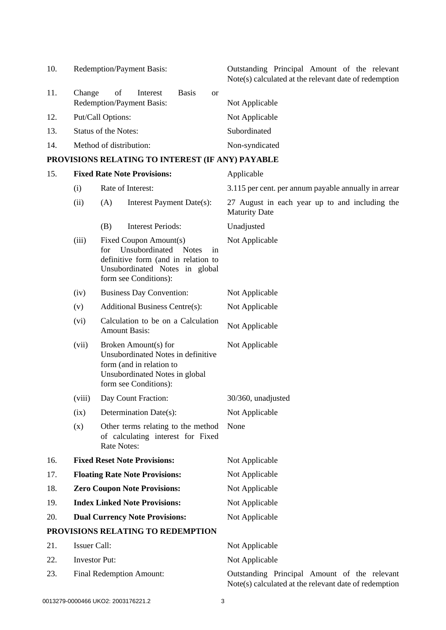| 10. | Redemption/Payment Basis:                                 | Outstanding Principal Amount of the relevant<br>Note(s) calculated at the relevant date of redemption |
|-----|-----------------------------------------------------------|-------------------------------------------------------------------------------------------------------|
| 11. | <b>Basis</b><br>Change<br>of<br>Interest<br><sub>or</sub> |                                                                                                       |
|     | Redemption/Payment Basis:                                 | Not Applicable                                                                                        |
| 12. | Put/Call Options:                                         | Not Applicable                                                                                        |
| 13. | <b>Status of the Notes:</b>                               | Subordinated                                                                                          |
| 14. | Method of distribution:                                   | Non-syndicated                                                                                        |
|     |                                                           |                                                                                                       |

# **PROVISIONS RELATING TO INTEREST (IF ANY) PAYABLE**

| 15. |                                 | <b>Fixed Rate Note Provisions:</b>                                                                                                                                      | Applicable                                                                                            |
|-----|---------------------------------|-------------------------------------------------------------------------------------------------------------------------------------------------------------------------|-------------------------------------------------------------------------------------------------------|
|     | (i)                             | Rate of Interest:                                                                                                                                                       | 3.115 per cent. per annum payable annually in arrear                                                  |
|     | (ii)                            | (A)<br>Interest Payment Date(s):                                                                                                                                        | 27 August in each year up to and including the<br><b>Maturity Date</b>                                |
|     |                                 | <b>Interest Periods:</b><br>(B)                                                                                                                                         | Unadjusted                                                                                            |
|     | (iii)                           | Fixed Coupon Amount(s)<br>Unsubordinated<br><b>Notes</b><br>for<br>in<br>definitive form (and in relation to<br>Unsubordinated Notes in global<br>form see Conditions): | Not Applicable                                                                                        |
|     | (iv)                            | <b>Business Day Convention:</b>                                                                                                                                         | Not Applicable                                                                                        |
|     | (v)                             | <b>Additional Business Centre(s):</b>                                                                                                                                   | Not Applicable                                                                                        |
|     | (vi)                            | Calculation to be on a Calculation<br><b>Amount Basis:</b>                                                                                                              | Not Applicable                                                                                        |
|     | (vii)                           | Broken Amount(s) for<br>Unsubordinated Notes in definitive<br>form (and in relation to<br>Unsubordinated Notes in global<br>form see Conditions):                       | Not Applicable                                                                                        |
|     | (viii)                          | Day Count Fraction:                                                                                                                                                     | 30/360, unadjusted                                                                                    |
|     | (ix)                            | Determination Date(s):                                                                                                                                                  | Not Applicable                                                                                        |
|     | (x)                             | Other terms relating to the method<br>of calculating interest for Fixed<br>Rate Notes:                                                                                  | None                                                                                                  |
| 16. |                                 | <b>Fixed Reset Note Provisions:</b>                                                                                                                                     | Not Applicable                                                                                        |
| 17. |                                 | <b>Floating Rate Note Provisions:</b>                                                                                                                                   | Not Applicable                                                                                        |
| 18. |                                 | <b>Zero Coupon Note Provisions:</b>                                                                                                                                     | Not Applicable                                                                                        |
| 19. |                                 | <b>Index Linked Note Provisions:</b>                                                                                                                                    | Not Applicable                                                                                        |
| 20. |                                 | <b>Dual Currency Note Provisions:</b>                                                                                                                                   | Not Applicable                                                                                        |
|     |                                 | PROVISIONS RELATING TO REDEMPTION                                                                                                                                       |                                                                                                       |
| 21. | <b>Issuer Call:</b>             |                                                                                                                                                                         | Not Applicable                                                                                        |
| 22. | <b>Investor Put:</b>            |                                                                                                                                                                         | Not Applicable                                                                                        |
| 23. | <b>Final Redemption Amount:</b> |                                                                                                                                                                         | Outstanding Principal Amount of the relevant<br>Note(s) calculated at the relevant date of redemption |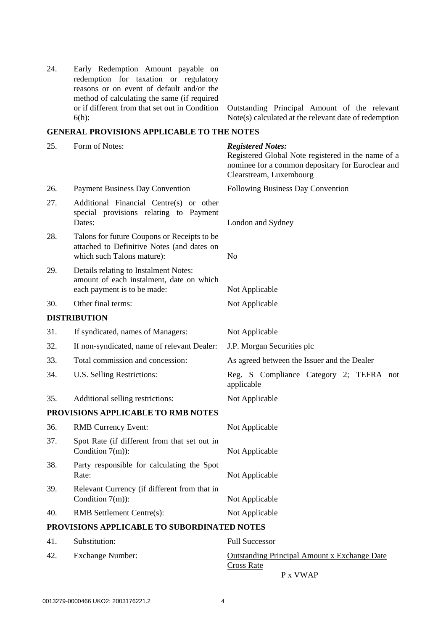| 24. | Early Redemption Amount payable on<br>redemption for taxation or regulatory<br>reasons or on event of default and/or the<br>method of calculating the same (if required<br>or if different from that set out in Condition<br>$6(h)$ : | Outstanding Principal Amount of the relevant<br>Note(s) calculated at the relevant date of redemption                                                          |
|-----|---------------------------------------------------------------------------------------------------------------------------------------------------------------------------------------------------------------------------------------|----------------------------------------------------------------------------------------------------------------------------------------------------------------|
|     | <b>GENERAL PROVISIONS APPLICABLE TO THE NOTES</b>                                                                                                                                                                                     |                                                                                                                                                                |
| 25. | Form of Notes:                                                                                                                                                                                                                        | <b>Registered Notes:</b><br>Registered Global Note registered in the name of a<br>nominee for a common depositary for Euroclear and<br>Clearstream, Luxembourg |
| 26. | <b>Payment Business Day Convention</b>                                                                                                                                                                                                | Following Business Day Convention                                                                                                                              |
| 27. | Additional Financial Centre(s) or other<br>special provisions relating to Payment<br>Dates:                                                                                                                                           | London and Sydney                                                                                                                                              |
| 28. | Talons for future Coupons or Receipts to be<br>attached to Definitive Notes (and dates on<br>which such Talons mature):                                                                                                               | No                                                                                                                                                             |
| 29. | Details relating to Instalment Notes:<br>amount of each instalment, date on which<br>each payment is to be made:                                                                                                                      | Not Applicable                                                                                                                                                 |
| 30. | Other final terms:                                                                                                                                                                                                                    | Not Applicable                                                                                                                                                 |
|     | <b>DISTRIBUTION</b>                                                                                                                                                                                                                   |                                                                                                                                                                |
| 31. | If syndicated, names of Managers:                                                                                                                                                                                                     | Not Applicable                                                                                                                                                 |
| 32. | If non-syndicated, name of relevant Dealer:                                                                                                                                                                                           | J.P. Morgan Securities plc                                                                                                                                     |
| 33. | Total commission and concession:                                                                                                                                                                                                      | As agreed between the Issuer and the Dealer                                                                                                                    |
| 34. | U.S. Selling Restrictions:                                                                                                                                                                                                            | Reg. S Compliance Category 2; TEFRA not<br>applicable                                                                                                          |
| 35. | Additional selling restrictions:                                                                                                                                                                                                      | Not Applicable                                                                                                                                                 |
|     | PROVISIONS APPLICABLE TO RMB NOTES                                                                                                                                                                                                    |                                                                                                                                                                |
| 36. | <b>RMB</b> Currency Event:                                                                                                                                                                                                            | Not Applicable                                                                                                                                                 |
| 37. | Spot Rate (if different from that set out in<br>Condition $7(m)$ :                                                                                                                                                                    | Not Applicable                                                                                                                                                 |
| 38. | Party responsible for calculating the Spot<br>Rate:                                                                                                                                                                                   | Not Applicable                                                                                                                                                 |
| 39. | Relevant Currency (if different from that in<br>Condition $7(m)$ :                                                                                                                                                                    | Not Applicable                                                                                                                                                 |
| 40. | RMB Settlement Centre(s):                                                                                                                                                                                                             | Not Applicable                                                                                                                                                 |
|     | PROVISIONS APPLICABLE TO SUBORDINATED NOTES                                                                                                                                                                                           |                                                                                                                                                                |
| 41. | Substitution:                                                                                                                                                                                                                         | <b>Full Successor</b>                                                                                                                                          |
| 42. | <b>Exchange Number:</b>                                                                                                                                                                                                               | <b>Outstanding Principal Amount x Exchange Date</b><br><b>Cross Rate</b>                                                                                       |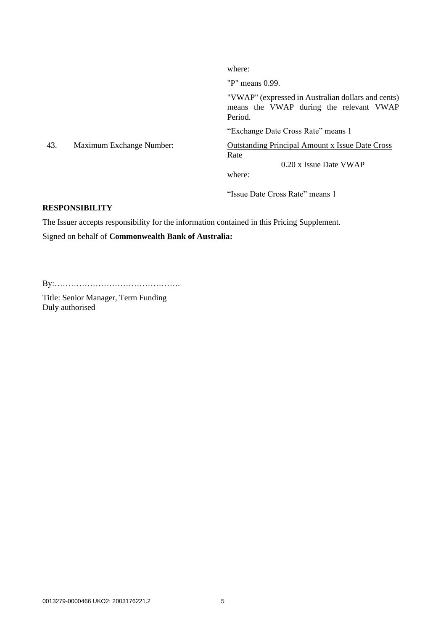where: "P" means 0.99. "VWAP" (expressed in Australian dollars and cents) means the VWAP during the relevant VWAP Period. "Exchange Date Cross Rate" means 1 43. Maximum Exchange Number: Outstanding Principal Amount x Issue Date Cross Rate 0.20 x Issue Date VWAP where:

"Issue Date Cross Rate" means 1

### **RESPONSIBILITY**

The Issuer accepts responsibility for the information contained in this Pricing Supplement.

Signed on behalf of **Commonwealth Bank of Australia:**

By:……………………………………….

Title: Senior Manager, Term Funding Duly authorised